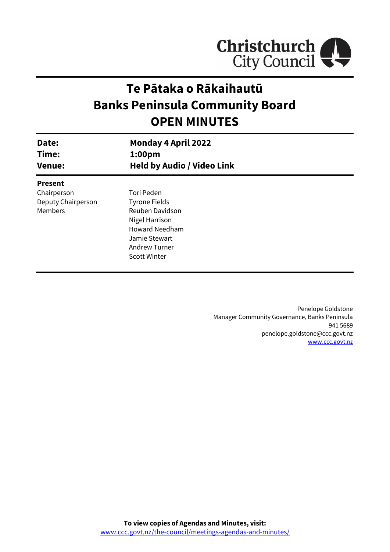

# **Te Pātaka o Rākaihautū Banks Peninsula Community Board OPEN MINUTES**

| Date:<br>Time:     | <b>Monday 4 April 2022</b><br>1:00 <sub>pm</sub> |  |
|--------------------|--------------------------------------------------|--|
| <b>Venue:</b>      | <b>Held by Audio / Video Link</b>                |  |
| <b>Present</b>     |                                                  |  |
| Chairperson        | Tori Peden                                       |  |
| Deputy Chairperson | <b>Tyrone Fields</b>                             |  |
| Members            | Reuben Davidson                                  |  |
|                    | Nigel Harrison                                   |  |
|                    | <b>Howard Needham</b>                            |  |
|                    | Jamie Stewart                                    |  |
|                    | Andrew Turner                                    |  |
|                    | <b>Scott Winter</b>                              |  |
|                    |                                                  |  |

Penelope Goldstone Manager Community Governance, Banks Peninsula 941 5689 penelope.goldstone@ccc.govt.nz [www.ccc.govt.nz](http://www.ccc.govt.nz/)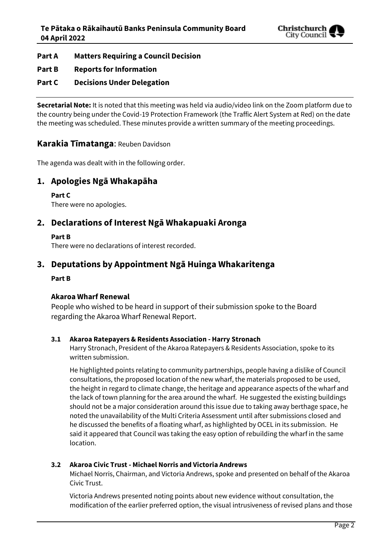

# **Part A Matters Requiring a Council Decision**

# **Part B Reports for Information**

# **Part C Decisions Under Delegation**

**Secretarial Note:** It is noted that this meeting was held via audio/video link on the Zoom platform due to the country being under the Covid-19 Protection Framework (the Traffic Alert System at Red) on the date the meeting was scheduled. These minutes provide a written summary of the meeting proceedings.

# **Karakia Tīmatanga**: Reuben Davidson

The agenda was dealt with in the following order.

# **1. Apologies Ngā Whakapāha**

**Part C**  There were no apologies.

# **2. Declarations of Interest Ngā Whakapuaki Aronga**

#### **Part B**

There were no declarations of interest recorded.

# **3. Deputations by Appointment Ngā Huinga Whakaritenga**

#### **Part B**

### **Akaroa Wharf Renewal**

People who wished to be heard in support of their submission spoke to the Board regarding the Akaroa Wharf Renewal Report.

#### **3.1 Akaroa Ratepayers & Residents Association - Harry Stronach**

Harry Stronach, President of the Akaroa Ratepayers & Residents Association, spoke to its written submission.

He highlighted points relating to community partnerships, people having a dislike of Council consultations, the proposed location of the new wharf, the materials proposed to be used, the height in regard to climate change, the heritage and appearance aspects of the wharf and the lack of town planning for the area around the wharf. He suggested the existing buildings should not be a major consideration around this issue due to taking away berthage space, he noted the unavailability of the Multi Criteria Assessment until after submissions closed and he discussed the benefits of a floating wharf, as highlighted by OCEL in its submission. He said it appeared that Council was taking the easy option of rebuilding the wharf in the same location.

#### **3.2 Akaroa Civic Trust - Michael Norris and Victoria Andrews**

Michael Norris, Chairman, and Victoria Andrews, spoke and presented on behalf of the Akaroa Civic Trust.

Victoria Andrews presented noting points about new evidence without consultation, the modification of the earlier preferred option, the visual intrusiveness of revised plans and those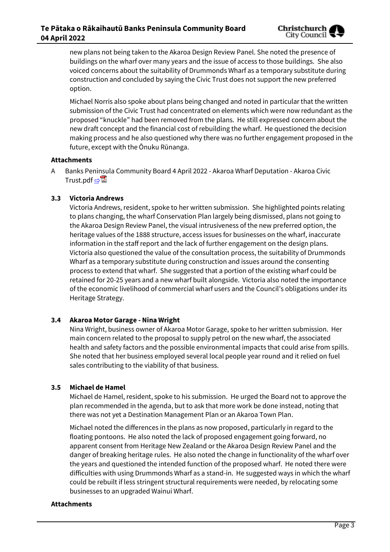new plans not being taken to the Akaroa Design Review Panel. She noted the presence of buildings on the wharf over many years and the issue of access to those buildings. She also voiced concerns about the suitability of Drummonds Wharf as a temporary substitute during construction and concluded by saying the Civic Trust does not support the new preferred option.

Michael Norris also spoke about plans being changed and noted in particular that the written submission of the Civic Trust had concentrated on elements which were now redundant as the proposed "knuckle" had been removed from the plans. He still expressed concern about the new draft concept and the financial cost of rebuilding the wharf. He questioned the decision making process and he also questioned why there was no further engagement proposed in the future, except with the Ōnuku Rūnanga.

#### **Attachments**

A Banks Peninsula Community Board 4 April 2022 - Akaroa Wharf Deputation - Akaroa Civic Trust.pdf ⇒

### **3.3 Victoria Andrews**

Victoria Andrews, resident, spoke to her written submission. She highlighted points relating to plans changing, the wharf Conservation Plan largely being dismissed, plans not going to the Akaroa Design Review Panel, the visual intrusiveness of the new preferred option, the heritage values of the 1888 structure, access issues for businesses on the wharf, inaccurate information in the staff report and the lack of further engagement on the design plans. Victoria also questioned the value of the consultation process, the suitability of Drummonds Wharf as a temporary substitute during construction and issues around the consenting process to extend that wharf. She suggested that a portion of the existing wharf could be retained for 20-25 years and a new wharf built alongside. Victoria also noted the importance of the economic livelihood of commercial wharf users and the Council's obligations under its Heritage Strategy.

### **3.4 Akaroa Motor Garage - Nina Wright**

Nina Wright, business owner of Akaroa Motor Garage, spoke to her written submission. Her main concern related to the proposal to supply petrol on the new wharf, the associated health and safety factors and the possible environmental impacts that could arise from spills. She noted that her business employed several local people year round and it relied on fuel sales contributing to the viability of that business.

### **3.5 Michael de Hamel**

Michael de Hamel, resident, spoke to his submission. He urged the Board not to approve the plan recommended in the agenda, but to ask that more work be done instead, noting that there was not yet a Destination Management Plan or an Akaroa Town Plan.

Michael noted the differences in the plans as now proposed, particularly in regard to the floating pontoons. He also noted the lack of proposed engagement going forward, no apparent consent from Heritage New Zealand or the Akaroa Design Review Panel and the danger of breaking heritage rules. He also noted the change in functionality of the wharf over the years and questioned the intended function of the proposed wharf. He noted there were difficulties with using Drummonds Wharf as a stand-in. He suggested ways in which the wharf could be rebuilt if less stringent structural requirements were needed, by relocating some businesses to an upgraded Wainui Wharf.

#### **Attachments**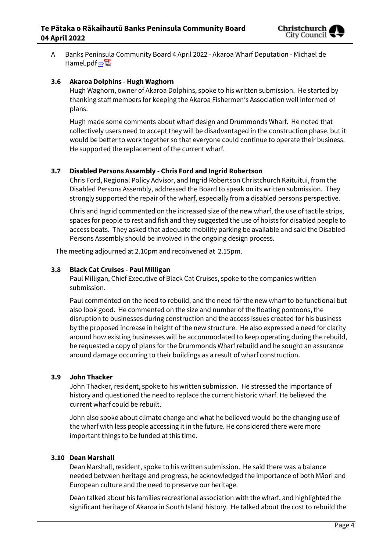

A Banks Peninsula Community Board 4 April 2022 - Akaroa Wharf Deputation - Michael de Hamel.pdf ⇒

#### **3.6 Akaroa Dolphins - Hugh Waghorn**

Hugh Waghorn, owner of Akaroa Dolphins, spoke to his written submission. He started by thanking staff members for keeping the Akaroa Fishermen's Association well informed of plans.

Hugh made some comments about wharf design and Drummonds Wharf. He noted that collectively users need to accept they will be disadvantaged in the construction phase, but it would be better to work together so that everyone could continue to operate their business. He supported the replacement of the current wharf.

#### **3.7 Disabled Persons Assembly - Chris Ford and Ingrid Robertson**

Chris Ford, Regional Policy Advisor, and Ingrid Robertson Christchurch Kaituitui, from the Disabled Persons Assembly, addressed the Board to speak on its written submission. They strongly supported the repair of the wharf, especially from a disabled persons perspective.

Chris and Ingrid commented on the increased size of the new wharf, the use of tactile strips, spaces for people to rest and fish and they suggested the use of hoists for disabled people to access boats. They asked that adequate mobility parking be available and said the Disabled Persons Assembly should be involved in the ongoing design process.

The meeting adjourned at 2.10pm and reconvened at 2.15pm.

#### **3.8 Black Cat Cruises - Paul Milligan**

Paul Milligan, Chief Executive of Black Cat Cruises, spoke to the companies written submission.

Paul commented on the need to rebuild, and the need for the new wharf to be functional but also look good. He commented on the size and number of the floating pontoons, the disruption to businesses during construction and the access issues created for his business by the proposed increase in height of the new structure. He also expressed a need for clarity around how existing businesses will be accommodated to keep operating during the rebuild, he requested a copy of plans for the Drummonds Wharf rebuild and he sought an assurance around damage occurring to their buildings as a result of wharf construction.

#### **3.9 John Thacker**

John Thacker, resident, spoke to his written submission. He stressed the importance of history and questioned the need to replace the current historic wharf. He believed the current wharf could be rebuilt.

John also spoke about climate change and what he believed would be the changing use of the wharf with less people accessing it in the future. He considered there were more important things to be funded at this time.

#### **3.10 Dean Marshall**

Dean Marshall, resident, spoke to his written submission. He said there was a balance needed between heritage and progress, he acknowledged the importance of both Māori and European culture and the need to preserve our heritage.

Dean talked about his families recreational association with the wharf, and highlighted the significant heritage of Akaroa in South Island history. He talked about the cost to rebuild the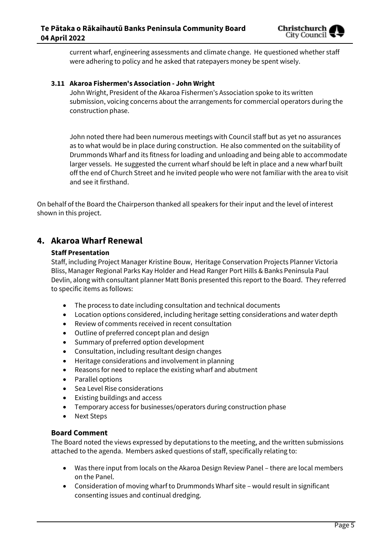

current wharf, engineering assessments and climate change. He questioned whether staff were adhering to policy and he asked that ratepayers money be spent wisely.

#### **3.11 Akaroa Fishermen's Association - John Wright**

John Wright, President of the Akaroa Fishermen's Association spoke to its written submission, voicing concerns about the arrangements for commercial operators during the construction phase.

John noted there had been numerous meetings with Council staff but as yet no assurances as to what would be in place during construction. He also commented on the suitability of Drummonds Wharf and its fitness for loading and unloading and being able to accommodate larger vessels. He suggested the current wharf should be left in place and a new wharf built off the end of Church Street and he invited people who were not familiar with the area to visit and see it firsthand.

On behalf of the Board the Chairperson thanked all speakers for their input and the level of interest shown in this project.

# **4. Akaroa Wharf Renewal**

#### **Staff Presentation**

Staff, including Project Manager Kristine Bouw, Heritage Conservation Projects Planner Victoria Bliss, Manager Regional Parks Kay Holder and Head Ranger Port Hills & Banks Peninsula Paul Devlin, along with consultant planner Matt Bonis presented this report to the Board. They referred to specific items as follows:

- The process to date including consultation and technical documents
- Location options considered, including heritage setting considerations and water depth
- Review of comments received in recent consultation
- Outline of preferred concept plan and design
- Summary of preferred option development
- Consultation, including resultant design changes
- Heritage considerations and involvement in planning
- Reasons for need to replace the existing wharf and abutment
- Parallel options
- Sea Level Rise considerations
- Existing buildings and access
- Temporary access for businesses/operators during construction phase
- Next Steps

### **Board Comment**

The Board noted the views expressed by deputations to the meeting, and the written submissions attached to the agenda. Members asked questions of staff, specifically relating to:

- Was there input from locals on the Akaroa Design Review Panel there are local members on the Panel.
- Consideration of moving wharf to Drummonds Wharf site would result in significant consenting issues and continual dredging.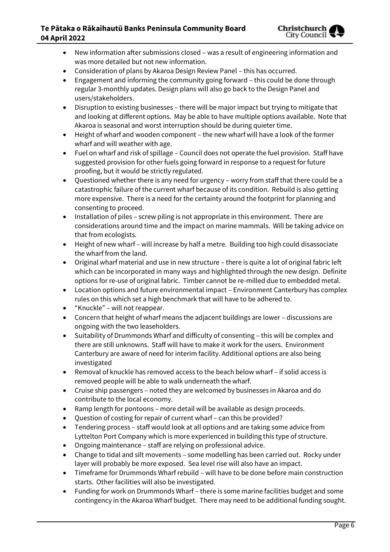### **Te Pātaka o Rākaihautū Banks Peninsula Community Board 04 April 2022**



- New information after submissions closed was a result of engineering information and was more detailed but not new information.
- Consideration of plans by Akaroa Design Review Panel this has occurred.
- Engagement and informing the community going forward this could be done through regular 3-monthly updates. Design plans will also go back to the Design Panel and users/stakeholders.
- Disruption to existing businesses there will be major impact but trying to mitigate that and looking at different options. May be able to have multiple options available. Note that Akaroa is seasonal and worst interruption should be during quieter time.
- Height of wharf and wooden component the new wharf will have a look of the former wharf and will weather with age.
- Fuel on wharf and risk of spillage Council does not operate the fuel provision. Staff have suggested provision for other fuels going forward in response to a request for future proofing, but it would be strictly regulated.
- Questioned whether there is any need for urgency worry from staff that there could be a catastrophic failure of the current wharf because of its condition. Rebuild is also getting more expensive. There is a need for the certainty around the footprint for planning and consenting to proceed.
- Installation of piles screw piling is not appropriate in this environment. There are considerations around time and the impact on marine mammals. Will be taking advice on that from ecologists.
- Height of new wharf will increase by half a metre. Building too high could disassociate the wharf from the land.
- Original wharf material and use in new structure there is quite a lot of original fabric left which can be incorporated in many ways and highlighted through the new design. Definite options for re-use of original fabric. Timber cannot be re-milled due to embedded metal.
- Location options and future environmental impact Environment Canterbury has complex rules on this which set a high benchmark that will have to be adhered to.
- "Knuckle" will not reappear.
- Concern that height of wharf means the adjacent buildings are lower discussions are ongoing with the two leaseholders.
- Suitability of Drummonds Wharf and difficulty of consenting this will be complex and there are still unknowns. Staff will have to make it work for the users. Environment Canterbury are aware of need for interim facility. Additional options are also being investigated
- Removal of knuckle has removed access to the beach below wharf if solid access is removed people will be able to walk underneath the wharf.
- Cruise ship passengers noted they are welcomed by businesses in Akaroa and do contribute to the local economy.
- Ramp length for pontoons more detail will be available as design proceeds.
- Question of costing for repair of current wharf can this be provided?
- Tendering process staff would look at all options and are taking some advice from Lyttelton Port Company which is more experienced in building this type of structure.
- Ongoing maintenance staff are relying on professional advice.
- Change to tidal and silt movements some modelling has been carried out. Rocky under layer will probably be more exposed. Sea level rise will also have an impact.
- Timeframe for Drummonds Wharf rebuild will have to be done before main construction starts. Other facilities will also be investigated.
- Funding for work on Drummonds Wharf there is some marine facilities budget and some contingency in the Akaroa Wharf budget. There may need to be additional funding sought.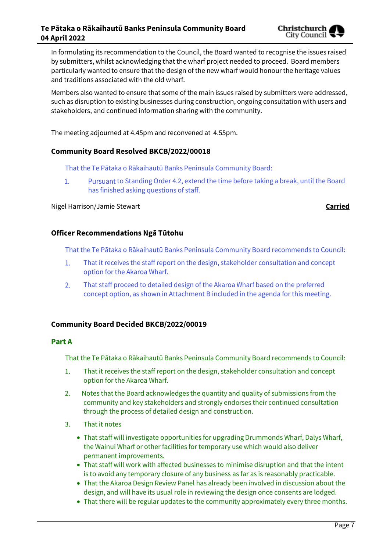

In formulating its recommendation to the Council, the Board wanted to recognise the issues raised by submitters, whilst acknowledging that the wharf project needed to proceed. Board members particularly wanted to ensure that the design of the new wharf would honour the heritage values and traditions associated with the old wharf.

Members also wanted to ensure that some of the main issues raised by submitters were addressed, such as disruption to existing businesses during construction, ongoing consultation with users and stakeholders, and continued information sharing with the community.

The meeting adjourned at 4.45pm and reconvened at 4.55pm.

#### **Community Board Resolved BKCB/2022/00018**

That the Te Pātaka o Rākaihautū Banks Peninsula Community Board:

 $1.$ Pursuant to Standing Order 4.2, extend the time before taking a break, until the Board has finished asking questions of staff.

Nigel Harrison/Jamie Stewart **Carried**

#### **Officer Recommendations Ngā Tūtohu**

That the Te Pātaka o Rākaihautū Banks Peninsula Community Board recommends to Council:

- $1<sub>1</sub>$ That it receives the staff report on the design, stakeholder consultation and concept option for the Akaroa Wharf.
- $2.$ That staff proceed to detailed design of the Akaroa Wharf based on the preferred concept option, as shown in Attachment B included in the agenda for this meeting.

#### **Community Board Decided BKCB/2022/00019**

#### **Part A**

That the Te Pātaka o Rākaihautū Banks Peninsula Community Board recommends to Council:

- $\overline{1}$ . That it receives the staff report on the design, stakeholder consultation and concept option for the Akaroa Wharf.
- 2. Notes that the Board acknowledges the quantity and quality of submissions from the community and key stakeholders and strongly endorses their continued consultation through the process of detailed design and construction.
- 3. That it notes
	- That staff will investigate opportunities for upgrading Drummonds Wharf, Dalys Wharf, the Wainui Wharf or other facilities for temporary use which would also deliver permanent improvements.
	- That staff will work with affected businesses to minimise disruption and that the intent is to avoid any temporary closure of any business as far as is reasonably practicable.
	- That the Akaroa Design Review Panel has already been involved in discussion about the design, and will have its usual role in reviewing the design once consents are lodged.
	- That there will be regular updates to the community approximately every three months.